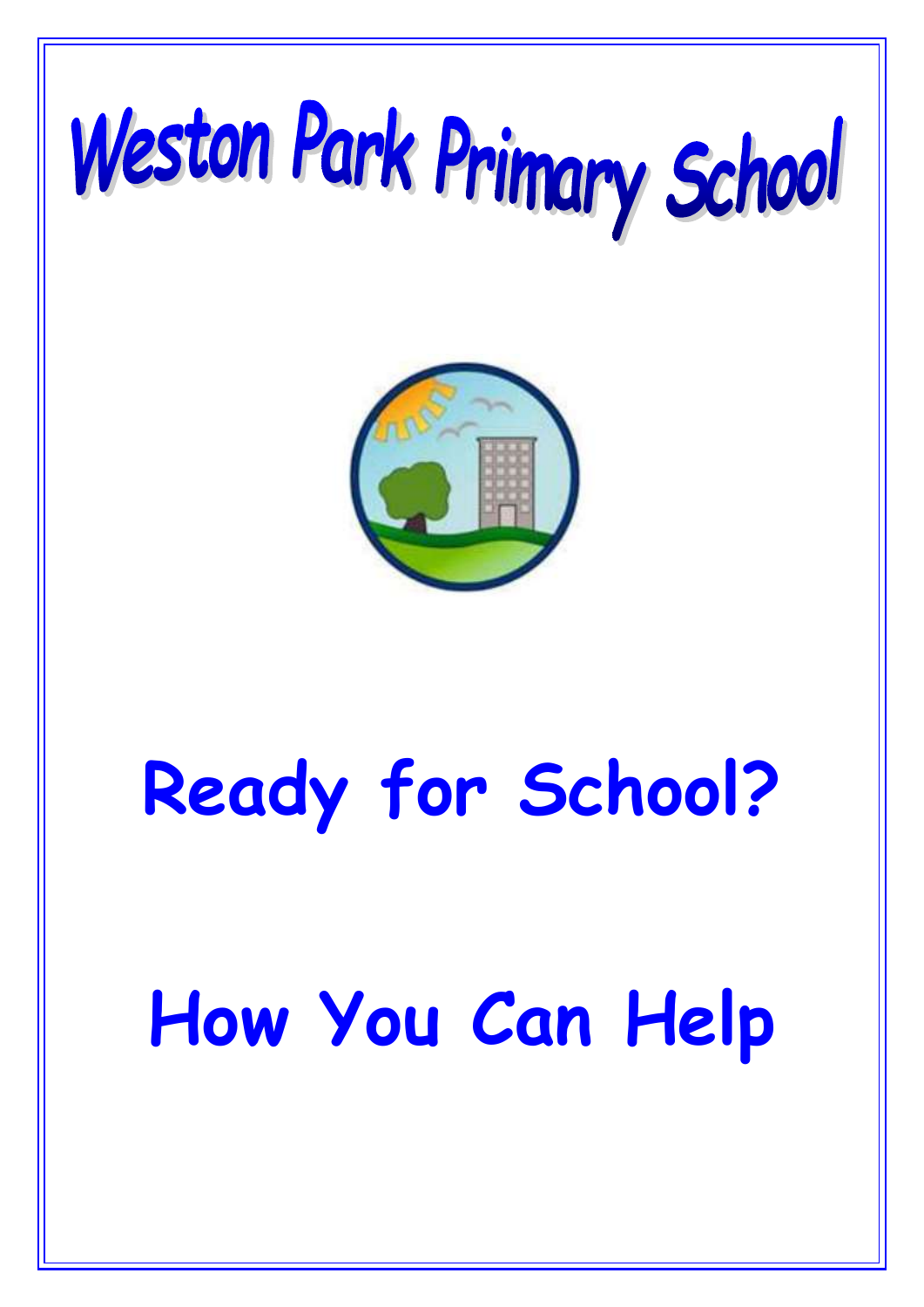



# **Ready for School?**

## **How You Can Help**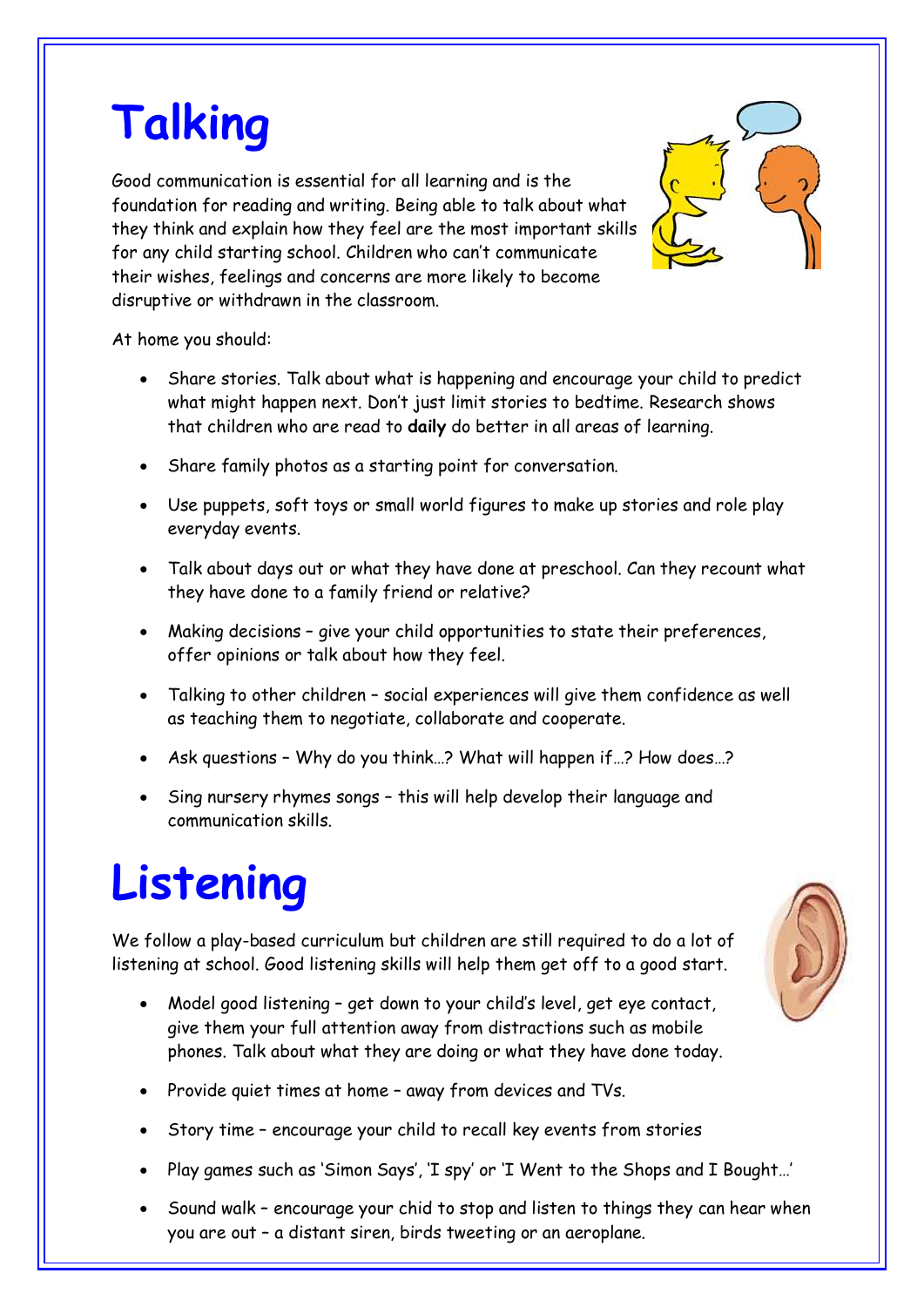### **Talking**

Good communication is essential for all learning and is the foundation for reading and writing. Being able to talk about what they think and explain how they feel are the most important skills for any child starting school. Children who can't communicate their wishes, feelings and concerns are more likely to become disruptive or withdrawn in the classroom.

At home you should:

- Share stories. Talk about what is happening and encourage your child to predict what might happen next. Don't just limit stories to bedtime. Research shows that children who are read to **daily** do better in all areas of learning.
- Share family photos as a starting point for conversation.
- Use puppets, soft toys or small world figures to make up stories and role play everyday events.
- Talk about days out or what they have done at preschool. Can they recount what they have done to a family friend or relative?
- Making decisions give your child opportunities to state their preferences, offer opinions or talk about how they feel.
- Talking to other children social experiences will give them confidence as well as teaching them to negotiate, collaborate and cooperate.
- Ask questions Why do you think…? What will happen if…? How does…?
- Sing nursery rhymes songs this will help develop their language and communication skills.

## **Listening**

We follow a play-based curriculum but children are still required to do a lot of listening at school. Good listening skills will help them get off to a good start.

- Model good listening get down to your child's level, get eye contact, give them your full attention away from distractions such as mobile phones. Talk about what they are doing or what they have done today.
- Provide quiet times at home away from devices and TVs.
- Story time encourage your child to recall key events from stories
- Play games such as 'Simon Says', 'I spy' or 'I Went to the Shops and I Bought…'
- Sound walk encourage your chid to stop and listen to things they can hear when you are out – a distant siren, birds tweeting or an aeroplane.

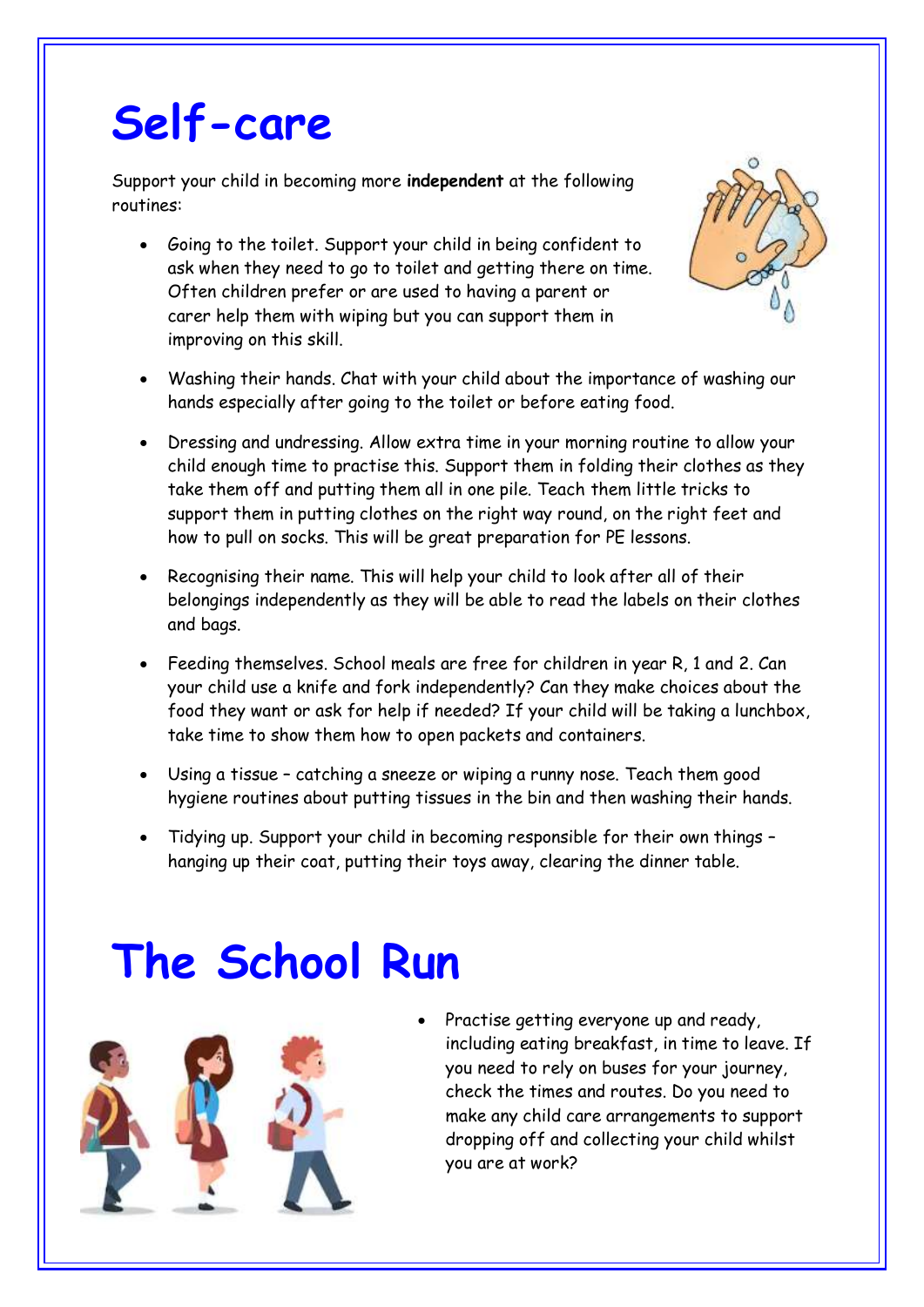#### **Self-care**

Support your child in becoming more **independent** at the following routines:

 Going to the toilet. Support your child in being confident to ask when they need to go to toilet and getting there on time. Often children prefer or are used to having a parent or carer help them with wiping but you can support them in improving on this skill.



- Washing their hands. Chat with your child about the importance of washing our hands especially after going to the toilet or before eating food.
- Dressing and undressing. Allow extra time in your morning routine to allow your child enough time to practise this. Support them in folding their clothes as they take them off and putting them all in one pile. Teach them little tricks to support them in putting clothes on the right way round, on the right feet and how to pull on socks. This will be great preparation for PE lessons.
- Recognising their name. This will help your child to look after all of their belongings independently as they will be able to read the labels on their clothes and bags.
- Feeding themselves. School meals are free for children in year R, 1 and 2. Can your child use a knife and fork independently? Can they make choices about the food they want or ask for help if needed? If your child will be taking a lunchbox, take time to show them how to open packets and containers.
- Using a tissue catching a sneeze or wiping a runny nose. Teach them good hygiene routines about putting tissues in the bin and then washing their hands.
- Tidying up. Support your child in becoming responsible for their own things hanging up their coat, putting their toys away, clearing the dinner table.

### **The School Run**



 Practise getting everyone up and ready, including eating breakfast, in time to leave. If you need to rely on buses for your journey, check the times and routes. Do you need to make any child care arrangements to support dropping off and collecting your child whilst you are at work?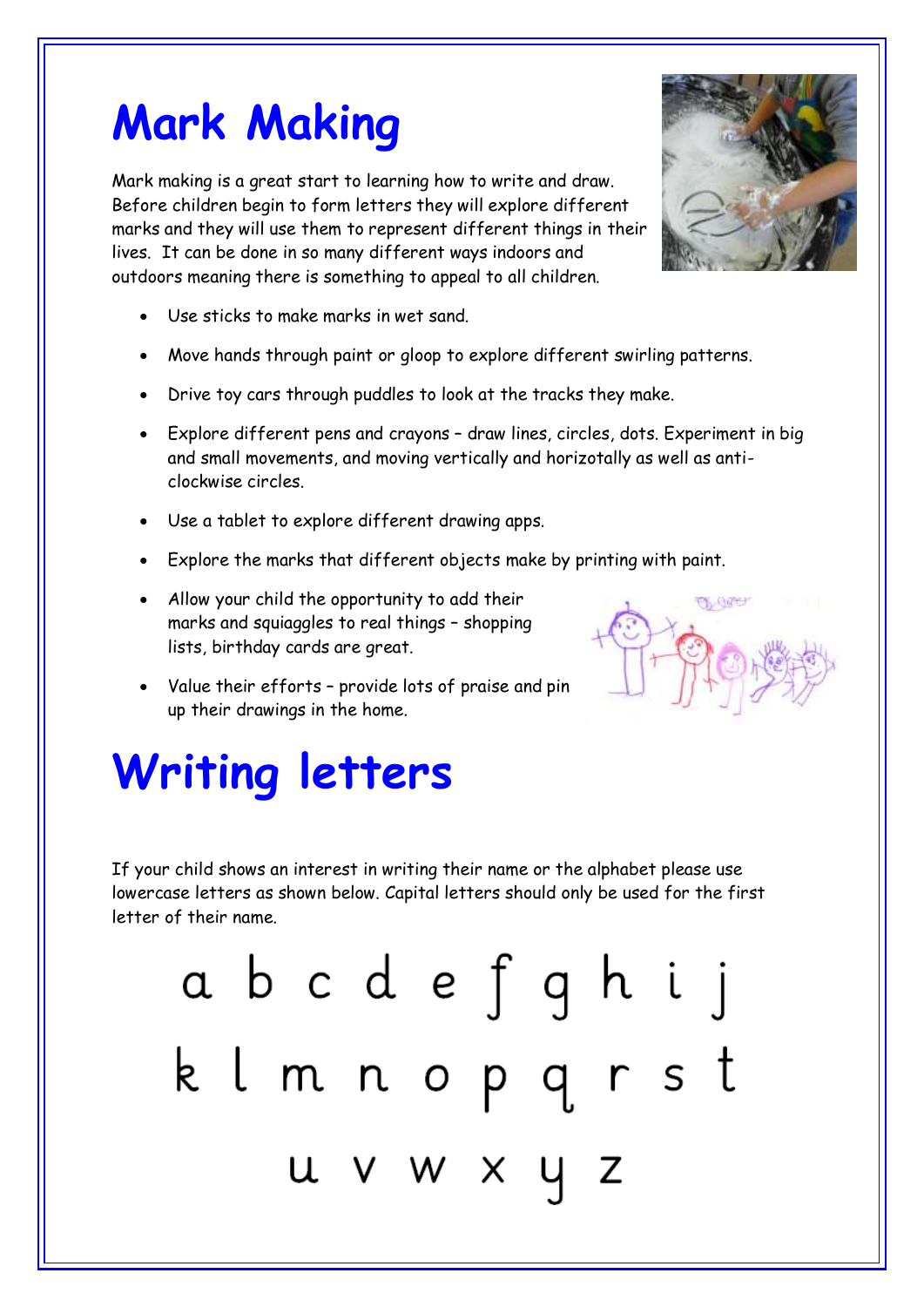#### **Mark Making**

Mark making is a great start to learning how to write and draw. Before children begin to form letters they will explore different marks and they will use them to represent different things in their lives. It can be done in so many different ways indoors and outdoors meaning there is something to appeal to all children.



er disa

- Use sticks to make marks in wet sand.
- Move hands through paint or gloop to explore different swirling patterns.
- Drive toy cars through puddles to look at the tracks they make.
- Explore different pens and crayons draw lines, circles, dots. Experiment in big and small movements, and moving vertically and horizotally as well as anticlockwise circles.
- Use a tablet to explore different drawing apps.
- Explore the marks that different objects make by printing with paint.
- Allow your child the opportunity to add their marks and squiaggles to real things – shopping lists, birthday cards are great.
- Value their efforts provide lots of praise and pin up their drawings in the home.

### **Writing letters**

If your child shows an interest in writing their name or the alphabet please use lowercase letters as shown below. Capital letters should only be used for the first letter of their name.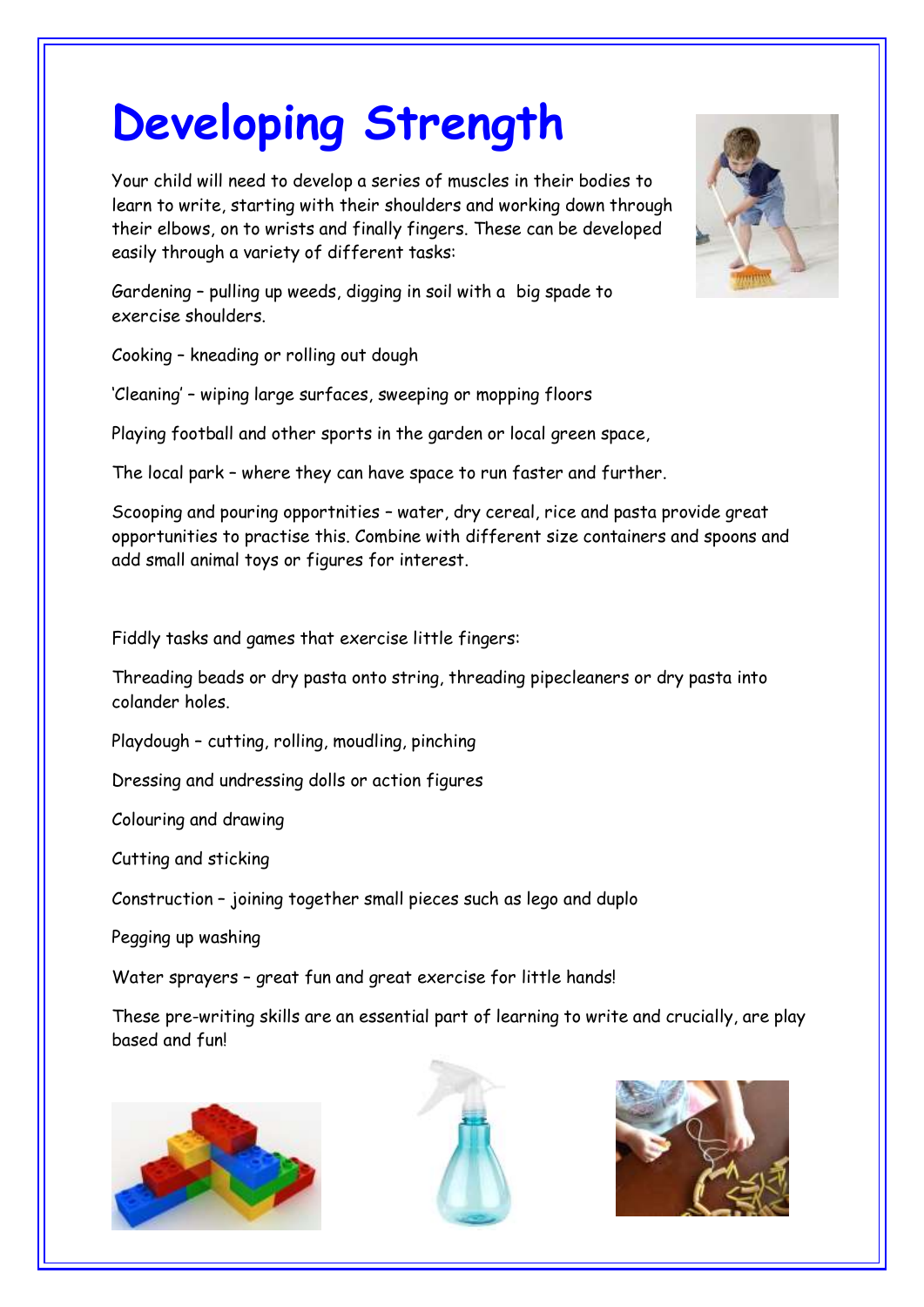### **Developing Strength**

Your child will need to develop a series of muscles in their bodies to learn to write, starting with their shoulders and working down through their elbows, on to wrists and finally fingers. These can be developed easily through a variety of different tasks:



Cooking – kneading or rolling out dough

'Cleaning' – wiping large surfaces, sweeping or mopping floors

Playing football and other sports in the garden or local green space,

The local park – where they can have space to run faster and further.

Scooping and pouring opportnities – water, dry cereal, rice and pasta provide great opportunities to practise this. Combine with different size containers and spoons and add small animal toys or figures for interest.

Fiddly tasks and games that exercise little fingers:

Threading beads or dry pasta onto string, threading pipecleaners or dry pasta into colander holes.

Playdough – cutting, rolling, moudling, pinching

Dressing and undressing dolls or action figures

Colouring and drawing

Cutting and sticking

Construction – joining together small pieces such as lego and duplo

Pegging up washing

Water sprayers – great fun and great exercise for little hands!

These pre-writing skills are an essential part of learning to write and crucially, are play based and fun!